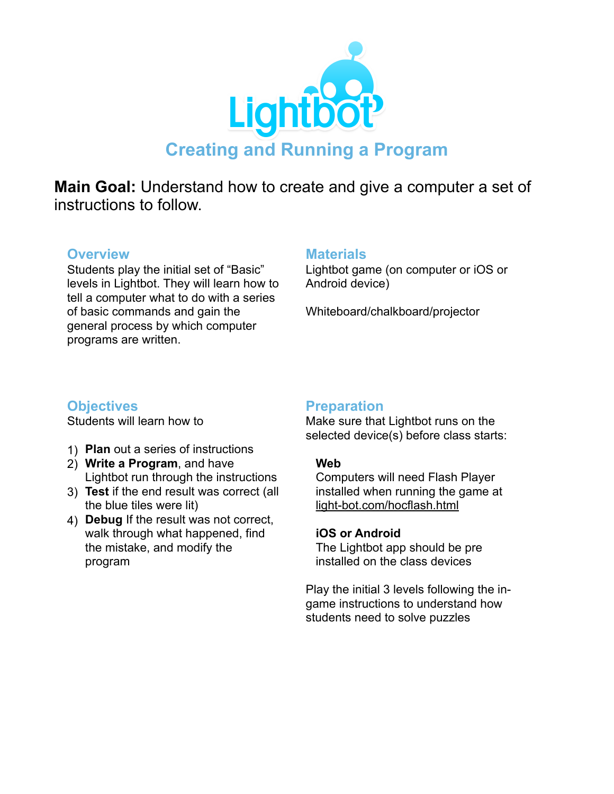

**Main Goal:** Understand how to create and give a computer a set of instructions to follow.

#### **Overview**

Students play the initial set of "Basic" levels in Lightbot. They will learn how to tell a computer what to do with a series of basic commands and gain the general process by which computer programs are written.

#### **Materials**

Lightbot game (on computer or iOS or Android device)

Whiteboard/chalkboard/projector

# **Objectives**

Students will learn how to

- 1) **Plan** out a series of instructions
- 2) **Write a Program**, and have Lightbot run through the instructions
- 3) **Test** if the end result was correct (all the blue tiles were lit)
- 4) **Debug** If the result was not correct, walk through what happened, find the mistake, and modify the program

### **Preparation**

Make sure that Lightbot runs on the selected device(s) before class starts:

#### **Web**

 Computers will need Flash Player installed when running the game at [light-bot.com/hocflash.html](http://light-bot.com/hocflash.html)

#### **iOS or Android**

The Lightbot app should be pre installed on the class devices

Play the initial 3 levels following the ingame instructions to understand how students need to solve puzzles